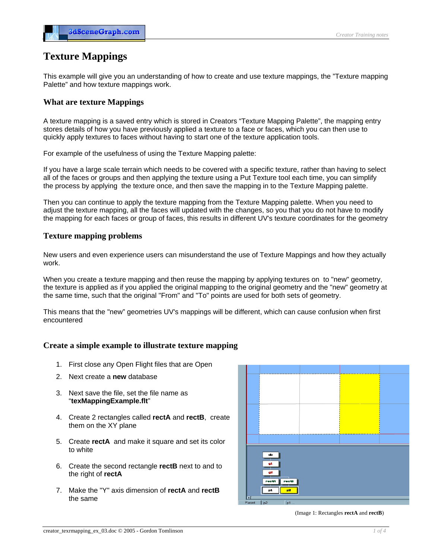# **Texture Mappings**

This example will give you an understanding of how to create and use texture mappings, the "Texture mapping Palette" and how texture mappings work.

## **What are texture Mappings**

A texture mapping is a saved entry which is stored in Creators "Texture Mapping Palette", the mapping entry stores details of how you have previously applied a texture to a face or faces, which you can then use to quickly apply textures to faces without having to start one of the texture application tools.

For example of the usefulness of using the Texture Mapping palette:

If you have a large scale terrain which needs to be covered with a specific texture, rather than having to select all of the faces or groups and then applying the texture using a Put Texture tool each time, you can simplify the process by applying the texture once, and then save the mapping in to the Texture Mapping palette.

Then you can continue to apply the texture mapping from the Texture Mapping palette. When you need to adjust the texture mapping, all the faces will updated with the changes, so you that you do not have to modify the mapping for each faces or group of faces, this results in different UV's texture coordinates for the geometry

## **Texture mapping problems**

New users and even experience users can misunderstand the use of Texture Mappings and how they actually work.

When you create a texture mapping and then reuse the mapping by applying textures on to "new" geometry, the texture is applied as if you applied the original mapping to the original geometry and the "new" geometry at the same time, such that the original "From" and "To" points are used for both sets of geometry.

This means that the "new" geometries UV's mappings will be different, which can cause confusion when first encountered

## **Create a simple example to illustrate texture mapping**

- 1. First close any Open Flight files that are Open
- 2. Next create a **new** database
- 3. Next save the file, set the file name as "**texMappingExample.flt**"
- 4. Create 2 rectangles called **rectA** and **rectB**, create them on the XY plane
- 5. Create **rectA** and make it square and set its color to white
- 6. Create the second rectangle **rectB** next to and to the right of **rectA**
- 7. Make the "Y" axis dimension of **rectA** and **rectB** the same



(Image 1: Rectangles **rectA** and **rectB**)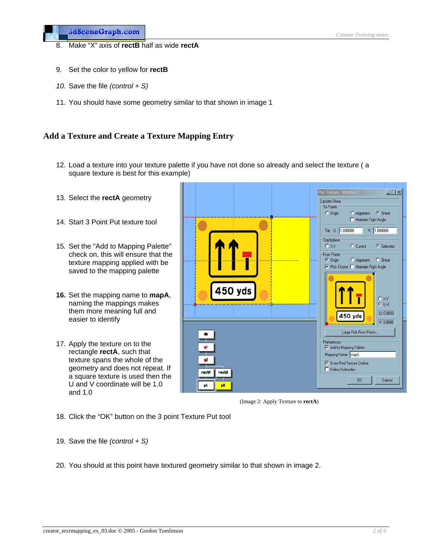- 8. Make "X" axis of **rectB** half as wide **rectA**
- 9. Set the color to yellow for **rectB**
- *10.* Save the file *(control + S)*
- 11. You should have some geometry similar to that shown in image 1

## **Add a Texture and Create a Texture Mapping Entry**

- 12. Load a texture into your texture palette if you have not done so already and select the texture ( a square texture is best for this example)
- 13. Select the **rectA** geometry
- 14. Start 3 Point Put texture tool
- 15. Set the "Add to Mapping Palette" check on, this will ensure that the texture mapping applied with be saved to the mapping palette
- **16.** Set the mapping name to **mapA**, naming the mappings makes them more meaning full and easier to identify
- 17. Apply the texture on to the rectangle **rectA**, such that texture spans the whole of the geometry and does not repeat. If a square texture is used then the U and V coordinate will be 1.0 and 1.0



(Image 2: Apply Texture to **rectA**)

- 18. Click the "OK" button on the 3 point Texture Put tool
- 19. Save the file *(control + S)*
- 20. You should at this point have textured geometry similar to that shown in image 2.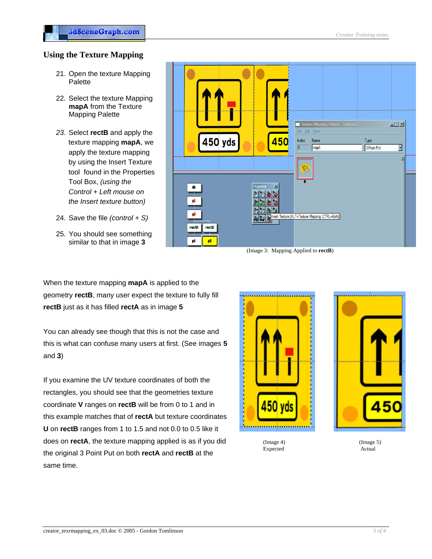## **Using the Texture Mapping**

- 21. Open the texture Mapping Palette
- 22. Select the texture Mapping **mapA** from the Texture Mapping Palette
- *23.* Select **rectB** and apply the texture mapping **mapA**, we apply the texture mapping by using the Insert Texture tool found in the Properties Tool Box, *(using the Control + Left mouse on the Insert texture button)*
- 24. Save the file *(control + S)*
- 25. You should see something similar to that in image **3**



(Image 3: Mapping Applied to **rectB**)

When the texture mapping **mapA** is applied to the geometry **rectB**, many user expect the texture to fully fill **rectB** just as it has filled **rectA** as in image **5**

You can already see though that this is not the case and this is what can confuse many users at first. (See images **5** and **3**)

If you examine the UV texture coordinates of both the rectangles, you should see that the geometries texture coordinate **V** ranges on **rectB** will be from 0 to 1 and in this example matches that of **rectA** but texture coordinates **U** on **rectB** ranges from 1 to 1.5 and not 0.0 to 0.5 like it does on **rectA**, the texture mapping applied is as if you did the original 3 Point Put on both **rectA** and **rectB** at the same time.





(Image 4) Expected (Image 5) Actual